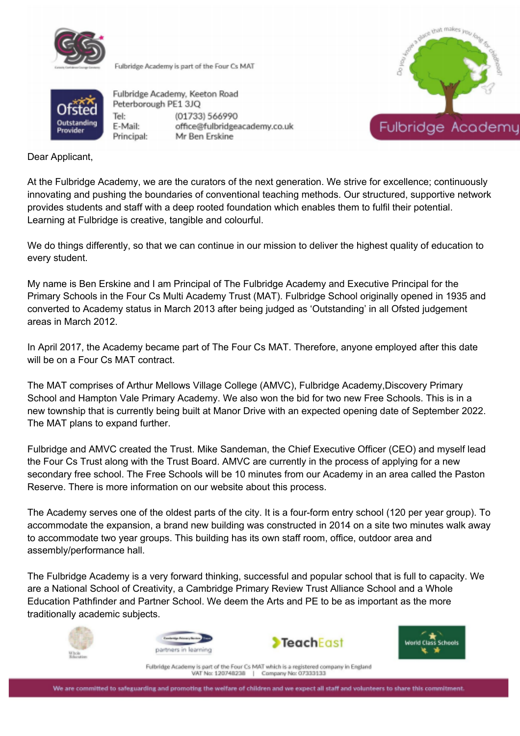

Fulbridge Academy is part of the Four Cs MAT



Outstanding Provider

Fulbridge Academy, Keeton Road Peterborough PE1 3JQ Tel: (01733) 566990 E-Mail: office@fulbridgeacademy.co.uk Principal: Mr Ben Erskine

Dear Applicant,

At the Fulbridge Academy, we are the curators of the next generation. We strive for excellence; continuously innovating and pushing the boundaries of conventional teaching methods. Our structured, supportive network provides students and staff with a deep rooted foundation which enables them to fulfil their potential. Learning at Fulbridge is creative, tangible and colourful.

We do things differently, so that we can continue in our mission to deliver the highest quality of education to every student.

My name is Ben Erskine and I am Principal of The Fulbridge Academy and Executive Principal for the Primary Schools in the Four Cs Multi Academy Trust (MAT). Fulbridge School originally opened in 1935 and converted to Academy status in March 2013 after being judged as 'Outstanding' in all Ofsted judgement areas in March 2012.

In April 2017, the Academy became part of The Four Cs MAT. Therefore, anyone employed after this date will be on a Four Cs MAT contract.

The MAT comprises of Arthur Mellows Village College (AMVC), Fulbridge Academy,Discovery Primary School and Hampton Vale Primary Academy. We also won the bid for two new Free Schools. This is in a new township that is currently being built at Manor Drive with an expected opening date of September 2022. The MAT plans to expand further.

Fulbridge and AMVC created the Trust. Mike Sandeman, the Chief Executive Officer (CEO) and myself lead the Four Cs Trust along with the Trust Board. AMVC are currently in the process of applying for a new secondary free school. The Free Schools will be 10 minutes from our Academy in an area called the Paston Reserve. There is more information on our website about this process.

The Academy serves one of the oldest parts of the city. It is a four-form entry school (120 per year group). To accommodate the expansion, a brand new building was constructed in 2014 on a site two minutes walk away to accommodate two year groups. This building has its own staff room, office, outdoor area and assembly/performance hall.

The Fulbridge Academy is a very forward thinking, successful and popular school that is full to capacity. We are a National School of Creativity, a Cambridge Primary Review Trust Alliance School and a Whole Education Pathfinder and Partner School. We deem the Arts and PE to be as important as the more traditionally academic subjects.









Fulbridge Academy is part of the Four Cs MAT which is a registered company in England VAT No: 120748238 Company No: 07333133